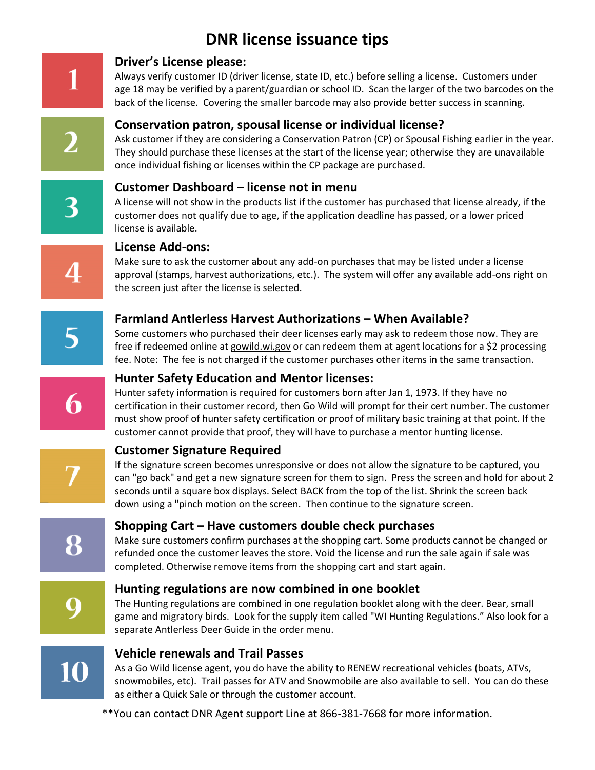# **DNR license issuance tips**



#### **Driver's License please:**

Always verify customer ID (driver license, state ID, etc.) before selling a license. Customers under age 18 may be verified by a parent/guardian or school ID. Scan the larger of the two barcodes on the back of the license. Covering the smaller barcode may also provide better success in scanning.

#### **Conservation patron, spousal license or individual license?**

Ask customer if they are considering a Conservation Patron (CP) or Spousal Fishing earlier in the year. They should purchase these licenses at the start of the license year; otherwise they are unavailable once individual fishing or licenses within the CP package are purchased.

#### **Customer Dashboard – license not in menu**

A license will not show in the products list if the customer has purchased that license already, if the customer does not qualify due to age, if the application deadline has passed, or a lower priced license is available.

#### **License Add-ons:**

Make sure to ask the customer about any add-on purchases that may be listed under a license approval (stamps, harvest authorizations, etc.). The system will offer any available add-ons right on the screen just after the license is selected.

# **Farmland Antlerless Harvest Authorizations – When Available?**

Some customers who purchased their deer licenses early may ask to redeem those now. They are free if redeemed online at gowild.wi.gov or can redeem them at agent locations for a \$2 processing fee. Note: The fee is not charged if the customer purchases other items in the same transaction.

#### **Hunter Safety Education and Mentor licenses:**

Hunter safety information is required for customers born after Jan 1, 1973. If they have no certification in their customer record, then Go Wild will prompt for their cert number. The customer must show proof of hunter safety certification or proof of military basic training at that point. If the customer cannot provide that proof, they will have to purchase a mentor hunting license.

# **Customer Signature Required**

If the signature screen becomes unresponsive or does not allow the signature to be captured, you can "go back" and get a new signature screen for them to sign. Press the screen and hold for about 2 seconds until a square box displays. Select BACK from the top of the list. Shrink the screen back down using a "pinch motion on the screen. Then continue to the signature screen.

8

# **Shopping Cart – Have customers double check purchases**

Make sure customers confirm purchases at the shopping cart. Some products cannot be changed or refunded once the customer leaves the store. Void the license and run the sale again if sale was completed. Otherwise remove items from the shopping cart and start again.

#### **Hunting regulations are now combined in one booklet**

The Hunting regulations are combined in one regulation booklet along with the deer. Bear, small game and migratory birds. Look for the supply item called "WI Hunting Regulations." Also look for a separate Antlerless Deer Guide in the order menu.



#### **Vehicle renewals and Trail Passes**

As a Go Wild license agent, you do have the ability to RENEW recreational vehicles (boats, ATVs, snowmobiles, etc). Trail passes for ATV and Snowmobile are also available to sell. You can do these as either a Quick Sale or through the customer account.

\*\*You can contact DNR Agent support Line at 866-381-7668 for more information.

3